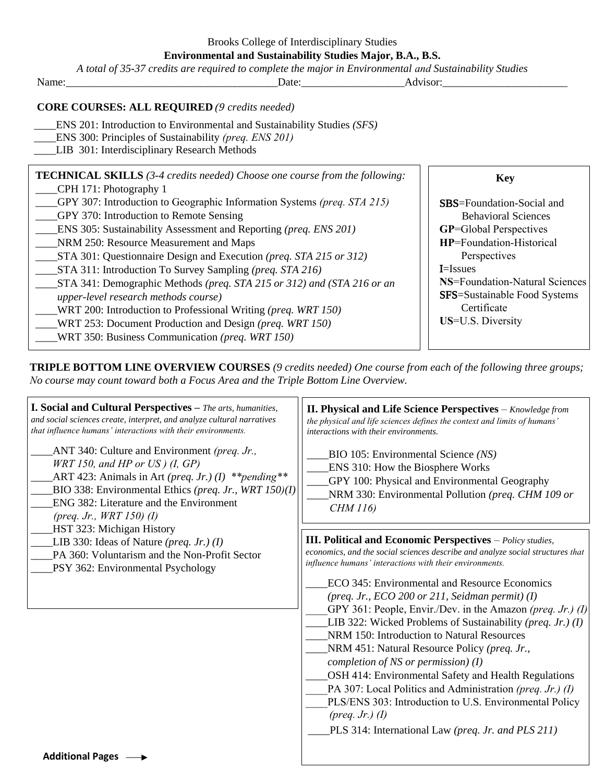|  | Brooks College of Interdisciplinary Studies |  |
|--|---------------------------------------------|--|
|  |                                             |  |

**Environmental and Sustainability Studies Major, B.A., B.S.**

| A total of 35-37 credits are required to complete the major in Environmental and Sustainability Studies                                                                                                                                                                                                                                                                                                                                                                                                                                                                                                                                                                                                                                                                                                |                |                                                                                                                                                                                                                                                                                             |  |
|--------------------------------------------------------------------------------------------------------------------------------------------------------------------------------------------------------------------------------------------------------------------------------------------------------------------------------------------------------------------------------------------------------------------------------------------------------------------------------------------------------------------------------------------------------------------------------------------------------------------------------------------------------------------------------------------------------------------------------------------------------------------------------------------------------|----------------|---------------------------------------------------------------------------------------------------------------------------------------------------------------------------------------------------------------------------------------------------------------------------------------------|--|
| Name:                                                                                                                                                                                                                                                                                                                                                                                                                                                                                                                                                                                                                                                                                                                                                                                                  | Date: Advisor: |                                                                                                                                                                                                                                                                                             |  |
| <b>CORE COURSES: ALL REQUIRED (9 credits needed)</b><br><b>ENS 201: Introduction to Environmental and Sustainability Studies (SFS)</b><br>ENS 300: Principles of Sustainability (preq. ENS 201)<br>LIB 301: Interdisciplinary Research Methods                                                                                                                                                                                                                                                                                                                                                                                                                                                                                                                                                         |                |                                                                                                                                                                                                                                                                                             |  |
| <b>TECHNICAL SKILLS</b> $(3-4 \text{ credits needed})$ Choose one course from the following:<br>CPH 171: Photography 1<br>GPY 307: Introduction to Geographic Information Systems (preq. STA 215)<br>GPY 370: Introduction to Remote Sensing<br>ENS 305: Sustainability Assessment and Reporting (preq. ENS 201)<br>NRM 250: Resource Measurement and Maps<br>STA 301: Questionnaire Design and Execution (preq. STA 215 or 312)<br>STA 311: Introduction To Survey Sampling (preq. STA 216)<br>STA 341: Demographic Methods (preq. STA 215 or 312) and (STA 216 or an<br>upper-level research methods course)<br>WRT 200: Introduction to Professional Writing ( <i>preq. WRT 150</i> )<br>WRT 253: Document Production and Design (preq. WRT 150)<br>WRT 350: Business Communication (preq. WRT 150) |                | <b>Key</b><br><b>SBS</b> =Foundation-Social and<br><b>Behavioral Sciences</b><br><b>GP=Global Perspectives</b><br>HP=Foundation-Historical<br>Perspectives<br><b>I</b> =Issues<br>NS=Foundation-Natural Sciences<br><b>SFS=Sustainable Food Systems</b><br>Certificate<br>US=U.S. Diversity |  |

**TRIPLE BOTTOM LINE OVERVIEW COURSES** *(9 credits needed) One course from each of the following three groups; No course may count toward both a Focus Area and the Triple Bottom Line Overview.*

| <b>I. Social and Cultural Perspectives</b> - The arts, humanities,<br>and social sciences create, interpret, and analyze cultural narratives<br>that influence humans' interactions with their environments.                                                              | II. Physical and Life Science Perspectives - Knowledge from<br>the physical and life sciences defines the context and limits of humans'<br>interactions with their environments.                                                                                                                                                                                                                                                                                                                                                                                                                                                                                                                                                                                                                                                                  |
|---------------------------------------------------------------------------------------------------------------------------------------------------------------------------------------------------------------------------------------------------------------------------|---------------------------------------------------------------------------------------------------------------------------------------------------------------------------------------------------------------------------------------------------------------------------------------------------------------------------------------------------------------------------------------------------------------------------------------------------------------------------------------------------------------------------------------------------------------------------------------------------------------------------------------------------------------------------------------------------------------------------------------------------------------------------------------------------------------------------------------------------|
| ANT 340: Culture and Environment (preq. Jr.,<br>WRT 150, and HP or US $(1, GP)$<br>ART 423: Animals in Art (preq. Jr.) (I) ** pending**<br>BIO 338: Environmental Ethics (preq. Jr., WRT 150)(I)<br>ENG 382: Literature and the Environment<br>(preq. Jr., $WRT$ 150) (1) | BIO 105: Environmental Science (NS)<br>ENS 310: How the Biosphere Works<br>GPY 100: Physical and Environmental Geography<br>NRM 330: Environmental Pollution (preq. CHM 109 or<br><b>CHM 116</b> )                                                                                                                                                                                                                                                                                                                                                                                                                                                                                                                                                                                                                                                |
| HST 323: Michigan History<br>LIB 330: Ideas of Nature (preq. Jr.) (I)<br>PA 360: Voluntarism and the Non-Profit Sector<br>PSY 362: Environmental Psychology                                                                                                               | <b>III. Political and Economic Perspectives</b> - Policy studies,<br>economics, and the social sciences describe and analyze social structures that<br>influence humans' interactions with their environments.<br>ECO 345: Environmental and Resource Economics<br>(preq. Jr., $ECO$ 200 or 211, Seidman permit) (I)<br>GPY 361: People, Envir./Dev. in the Amazon (preq. Jr.) (1)<br>LIB 322: Wicked Problems of Sustainability (preq. Jr.) (I)<br>NRM 150: Introduction to Natural Resources<br>NRM 451: Natural Resource Policy (preq. Jr.,<br>completion of NS or permission) $(I)$<br>OSH 414: Environmental Safety and Health Regulations<br>PA 307: Local Politics and Administration (preq. Jr.) (I)<br>PLS/ENS 303: Introduction to U.S. Environmental Policy<br>$(preq. Jr.)$ (1)<br>PLS 314: International Law (preq. Jr. and PLS 211) |
| Additional Dogoc                                                                                                                                                                                                                                                          |                                                                                                                                                                                                                                                                                                                                                                                                                                                                                                                                                                                                                                                                                                                                                                                                                                                   |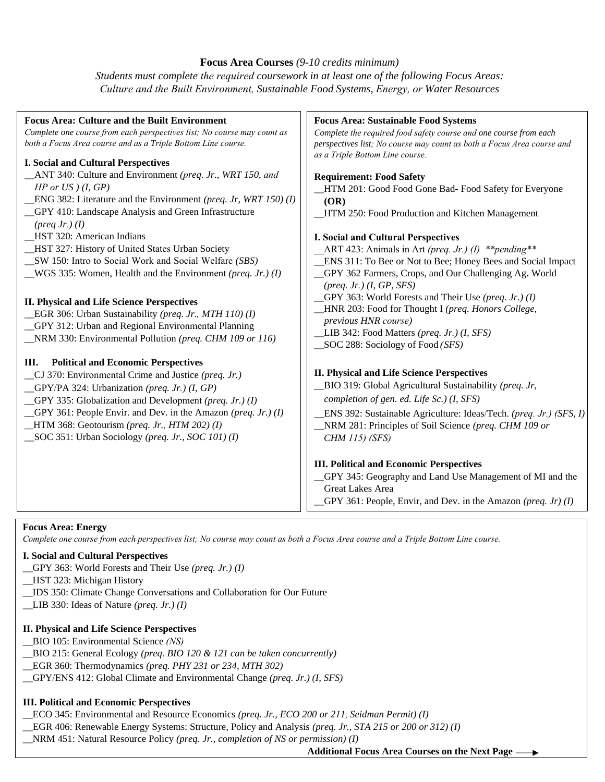## **Focus Area Courses** *(9-10 credits minimum)*

*Students must complete the required coursework in at least one of the following Focus Areas: Culture and the Built Environment, Sustainable Food Systems, Energy, or Water Resources*

| <b>Focus Area: Culture and the Built Environment</b><br>Complete one course from each perspectives list; No course may count as<br>both a Focus Area course and as a Triple Bottom Line course.<br><b>I. Social and Cultural Perspectives</b>                                                                                                                                                                                                                                   | <b>Focus Area: Sustainable Food Systems</b><br>Complete the required food safety course and one course from each<br>perspectives list; No course may count as both a Focus Area course and<br>as a Triple Bottom Line course.                                                                                                                                                                               |  |
|---------------------------------------------------------------------------------------------------------------------------------------------------------------------------------------------------------------------------------------------------------------------------------------------------------------------------------------------------------------------------------------------------------------------------------------------------------------------------------|-------------------------------------------------------------------------------------------------------------------------------------------------------------------------------------------------------------------------------------------------------------------------------------------------------------------------------------------------------------------------------------------------------------|--|
| _ANT 340: Culture and Environment (preq. Jr., WRT 150, and<br>$HP$ or $US$ ) (I, $GP$ )<br><b>ENG</b> 382: Literature and the Environment ( <i>preq. Jr, WRT 150)</i> ( <i>I</i> )<br>_GPY 410: Landscape Analysis and Green Infrastructure<br>$(\text{preq Jr.})$ (I)<br>HST 320: American Indians<br>_HST 327: History of United States Urban Society<br>_SW 150: Intro to Social Work and Social Welfare (SBS)<br>WGS 335: Women, Health and the Environment (preq. Jr.) (I) | <b>Requirement: Food Safety</b><br>_HTM 201: Good Food Gone Bad- Food Safety for Everyone<br>(OR)<br>_HTM 250: Food Production and Kitchen Management<br>I. Social and Cultural Perspectives<br>ART 423: Animals in Art (preq. Jr.) (I) ** pending**<br>ENS 311: To Bee or Not to Bee; Honey Bees and Social Impact<br>_GPY 362 Farmers, Crops, and Our Challenging Ag. World<br>$(preq. Jr.) (I, GP, SFS)$ |  |
| <b>II. Physical and Life Science Perspectives</b><br>EGR 306: Urban Sustainability (preq. Jr., MTH 110) (I)<br>GPY 312: Urban and Regional Environmental Planning<br>NRM 330: Environmental Pollution (preq. CHM 109 or 116)                                                                                                                                                                                                                                                    | GPY 363: World Forests and Their Use (preq. Jr.) (I)<br>_HNR 203: Food for Thought I (preq. Honors College,<br>previous HNR course)<br>LIB 342: Food Matters (preq. Jr.) (I, SFS)<br>$\_\$ textrm{SOC} 288: Sociology of Food (SFS)                                                                                                                                                                         |  |
| <b>Political and Economic Perspectives</b><br>Ш.<br>_CJ 370: Environmental Crime and Justice (preq. Jr.)<br>_GPY/PA 324: Urbanization (preq. Jr.) (I, GP)<br>GPY 335: Globalization and Development (preq. Jr.) (I)<br>GPY 361: People Envir. and Dev. in the Amazon (preq. Jr.) (I)<br>_HTM 368: Geotourism (preq. Jr., HTM 202) (I)<br>SOC 351: Urban Sociology (preq. Jr., SOC 101) (I)                                                                                      | <b>II. Physical and Life Science Perspectives</b><br>_BIO 319: Global Agricultural Sustainability (preq. Jr,<br>completion of gen. ed. Life Sc.) (I, SFS)<br>ENS 392: Sustainable Agriculture: Ideas/Tech. (preq. Jr.) (SFS, I)<br>NRM 281: Principles of Soil Science (preq. CHM 109 or<br><b>CHM 115) (SFS)</b>                                                                                           |  |
|                                                                                                                                                                                                                                                                                                                                                                                                                                                                                 | <b>III. Political and Economic Perspectives</b><br>GPY 345: Geography and Land Use Management of MI and the<br><b>Great Lakes Area</b><br>$_GPY$ 361: People, Envir, and Dev. in the Amazon (preq. Jr) (I)                                                                                                                                                                                                  |  |

#### **Focus Area: Energy**

*Complete one course from each perspectives list; No course may count as both a Focus Area course and a Triple Bottom Line course.* 

## **I. Social and Cultural Perspectives**

- \_\_GPY 363: World Forests and Their Use *(preq. Jr.) (I)*
- \_\_HST 323: Michigan History
- \_\_IDS 350: Climate Change Conversations and Collaboration for Our Future
- \_\_LIB 330: Ideas of Nature *(preq. Jr.) (I)*

# **II. Physical and Life Science Perspectives**

- \_\_BIO 105: Environmental Science *(NS)*
- \_\_BIO 215: General Ecology *(preq. BIO 120 & 121 can be taken concurrently)*
- \_\_EGR 360: Thermodynamics *(preq. PHY 231 or 234, MTH 302)*
- \_\_GPY/ENS 412: Global Climate and Environmental Change *(preq. Jr.) (I, SFS)*

# **III. Political and Economic Perspectives**

- \_\_ECO 345: Environmental and Resource Economics *(preq. Jr., ECO 200 or 211, Seidman Permit) (I)*
- *\_\_*EGR 406: Renewable Energy Systems: Structure, Policy and Analysis *(preq. Jr., STA 215 or 200 or 312) (I)*
- \_\_NRM 451: Natural Resource Policy *(preq. Jr., completion of NS or permission) (I)*

**Additional Focus Area Courses on the Next Page**